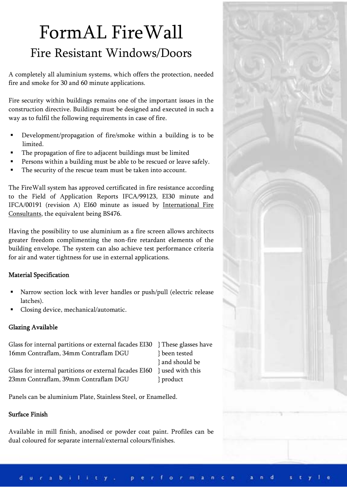# FormAL FireWall Fire Resistant Windows/Doors

A completely all aluminium systems, which offers the protection, needed fire and smoke for 30 and 60 minute applications.

Fire security within buildings remains one of the important issues in the construction directive. Buildings must be designed and executed in such a way as to fulfil the following requirements in case of fire.

- Development/propagation of fire/smoke within a building is to be limited.
- The propagation of fire to adjacent buildings must be limited
- Persons within a building must be able to be rescued or leave safely.
- The security of the rescue team must be taken into account.

The FireWall system has approved certificated in fire resistance according to the Field of Application Reports IFCA/99123, EI30 minute and IFCA/00191 (revision A) EI60 minute as issued by International Fire Consultants, the equivalent being BS476.

Having the possibility to use aluminium as a fire screen allows architects greater freedom complimenting the non-fire retardant elements of the building envelope. The system can also achieve test performance criteria for air and water tightness for use in external applications.

### Material Specification

- Narrow section lock with lever handles or push/pull (electric release latches).
- Closing device, mechanical/automatic.

## Glazing Available

Glass for internal partitions or external facades EI30 } These glasses have 16mm Contraflam, 34mm Contraflam DGU } been tested } and should be Glass for internal partitions or external facades EI60 } used with this 23mm Contraflam, 39mm Contraflam DGU } product

Panels can be aluminium Plate, Stainless Steel, or Enamelled.

### Surface Finish

Available in mill finish, anodised or powder coat paint. Profiles can be dual coloured for separate internal/external colours/finishes.